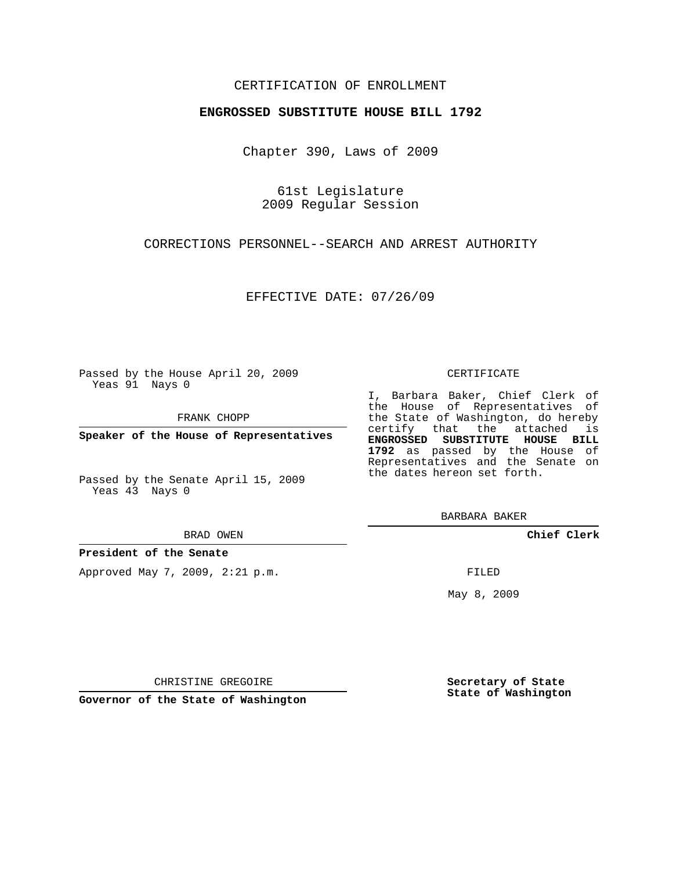### CERTIFICATION OF ENROLLMENT

### **ENGROSSED SUBSTITUTE HOUSE BILL 1792**

Chapter 390, Laws of 2009

61st Legislature 2009 Regular Session

CORRECTIONS PERSONNEL--SEARCH AND ARREST AUTHORITY

EFFECTIVE DATE: 07/26/09

Passed by the House April 20, 2009 Yeas 91 Nays 0

FRANK CHOPP

**Speaker of the House of Representatives**

Passed by the Senate April 15, 2009 Yeas 43 Nays 0

#### BRAD OWEN

### **President of the Senate**

Approved May 7, 2009, 2:21 p.m.

#### CERTIFICATE

I, Barbara Baker, Chief Clerk of the House of Representatives of the State of Washington, do hereby certify that the attached is **ENGROSSED SUBSTITUTE HOUSE BILL 1792** as passed by the House of Representatives and the Senate on the dates hereon set forth.

BARBARA BAKER

**Chief Clerk**

FILED

May 8, 2009

**Secretary of State State of Washington**

CHRISTINE GREGOIRE

**Governor of the State of Washington**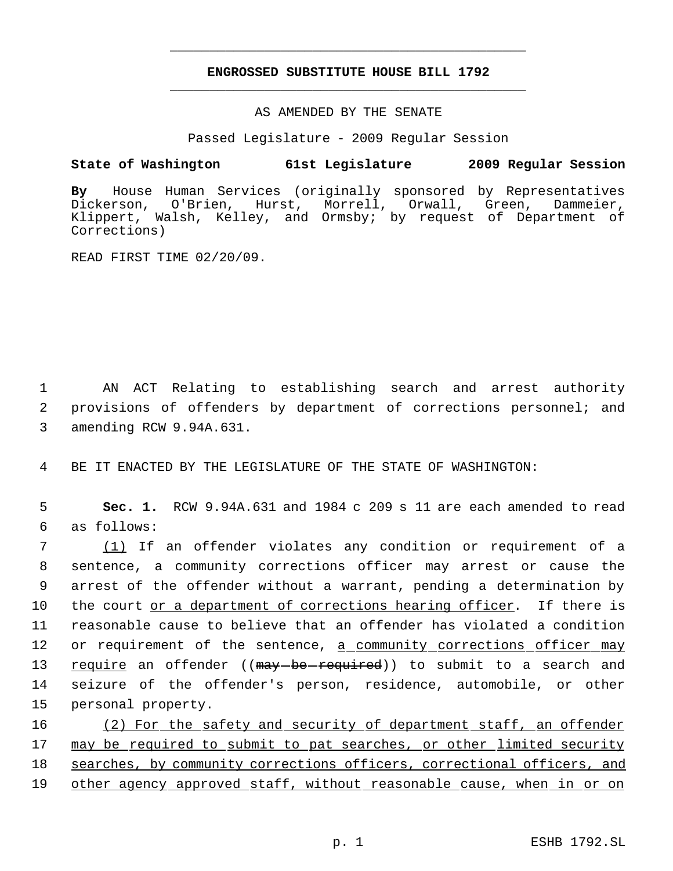# **ENGROSSED SUBSTITUTE HOUSE BILL 1792** \_\_\_\_\_\_\_\_\_\_\_\_\_\_\_\_\_\_\_\_\_\_\_\_\_\_\_\_\_\_\_\_\_\_\_\_\_\_\_\_\_\_\_\_\_

\_\_\_\_\_\_\_\_\_\_\_\_\_\_\_\_\_\_\_\_\_\_\_\_\_\_\_\_\_\_\_\_\_\_\_\_\_\_\_\_\_\_\_\_\_

AS AMENDED BY THE SENATE

Passed Legislature - 2009 Regular Session

## **State of Washington 61st Legislature 2009 Regular Session**

**By** House Human Services (originally sponsored by Representatives Hurst, Morrell, Orwall, Green, Dammeier, Klippert, Walsh, Kelley, and Ormsby; by request of Department of Corrections)

READ FIRST TIME 02/20/09.

 1 AN ACT Relating to establishing search and arrest authority 2 provisions of offenders by department of corrections personnel; and 3 amending RCW 9.94A.631.

4 BE IT ENACTED BY THE LEGISLATURE OF THE STATE OF WASHINGTON:

 5 **Sec. 1.** RCW 9.94A.631 and 1984 c 209 s 11 are each amended to read 6 as follows:

 (1) If an offender violates any condition or requirement of a sentence, a community corrections officer may arrest or cause the arrest of the offender without a warrant, pending a determination by 10 the court or a department of corrections hearing officer. If there is reasonable cause to believe that an offender has violated a condition 12 or requirement of the sentence, a community corrections officer may 13 require an offender ((may-be-required)) to submit to a search and seizure of the offender's person, residence, automobile, or other personal property.

16 (2) For the safety and security of department staff, an offender 17 may be required to submit to pat searches, or other limited security 18 searches, by community corrections officers, correctional officers, and 19 other agency approved staff, without reasonable cause, when in or on